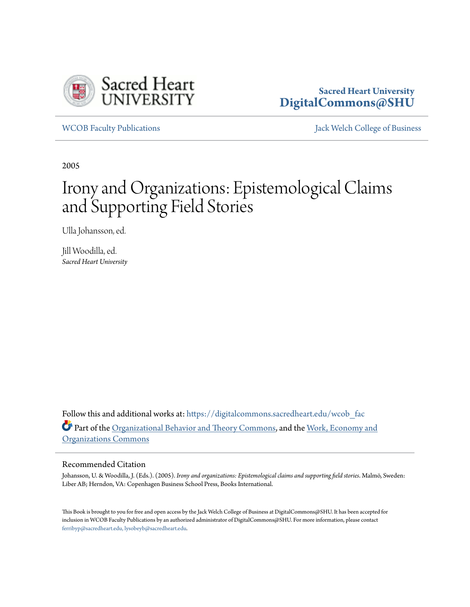

# **Sacred Heart University [DigitalCommons@SHU](https://digitalcommons.sacredheart.edu?utm_source=digitalcommons.sacredheart.edu%2Fwcob_fac%2F165&utm_medium=PDF&utm_campaign=PDFCoverPages)**

[WCOB Faculty Publications](https://digitalcommons.sacredheart.edu/wcob_fac?utm_source=digitalcommons.sacredheart.edu%2Fwcob_fac%2F165&utm_medium=PDF&utm_campaign=PDFCoverPages) [Jack Welch College of Business](https://digitalcommons.sacredheart.edu/wcob?utm_source=digitalcommons.sacredheart.edu%2Fwcob_fac%2F165&utm_medium=PDF&utm_campaign=PDFCoverPages)

2005

# Irony and Organizations: Epistemological Claims and Supporting Field Stories

Ulla Johansson, ed.

Jill Woodilla, ed. *Sacred Heart University*

Follow this and additional works at: [https://digitalcommons.sacredheart.edu/wcob\\_fac](https://digitalcommons.sacredheart.edu/wcob_fac?utm_source=digitalcommons.sacredheart.edu%2Fwcob_fac%2F165&utm_medium=PDF&utm_campaign=PDFCoverPages) Part of the [Organizational Behavior and Theory Commons](http://network.bepress.com/hgg/discipline/639?utm_source=digitalcommons.sacredheart.edu%2Fwcob_fac%2F165&utm_medium=PDF&utm_campaign=PDFCoverPages), and the [Work, Economy and](http://network.bepress.com/hgg/discipline/433?utm_source=digitalcommons.sacredheart.edu%2Fwcob_fac%2F165&utm_medium=PDF&utm_campaign=PDFCoverPages) [Organizations Commons](http://network.bepress.com/hgg/discipline/433?utm_source=digitalcommons.sacredheart.edu%2Fwcob_fac%2F165&utm_medium=PDF&utm_campaign=PDFCoverPages)

#### Recommended Citation

Johansson, U. & Woodilla, J. (Eds.). (2005). *Irony and organizations: Epistemological claims and supporting field stories*. Malmö, Sweden: Liber AB; Herndon, VA: Copenhagen Business School Press, Books International.

This Book is brought to you for free and open access by the Jack Welch College of Business at DigitalCommons@SHU. It has been accepted for inclusion in WCOB Faculty Publications by an authorized administrator of DigitalCommons@SHU. For more information, please contact [ferribyp@sacredheart.edu, lysobeyb@sacredheart.edu.](mailto:ferribyp@sacredheart.edu,%20lysobeyb@sacredheart.edu)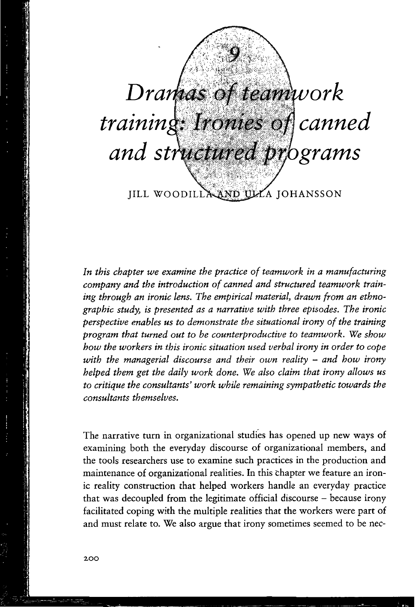

In this chapter we examine the practice of teamwork in a manufacturing company and the introduction of canned and structured teamwork training through an ironic lens. The empirical material, drawn from an ethnographic study, is presented as a narrative with three episodes. The ironic perspective enables us to demonstrate the situational irony of the training program that turned out to be counterproductive to teamwork. We show how the workers in this ironic situation used verbal irony in order to cope with the managerial discourse and their own reality  $-$  and how irony helped them get the daily work done. We also claim that irony allows us to critique the consultants' work while remaining sympathetic towards the consultants themselves.

The narrative turn in organizational studies has opened up new ways of examining both the everyday discourse of organizational members, and the tools researchers use to examine such practices in the production and maintenance of organizational realities. In this chapter we feature an ironic reality construction that helped workers handle an everyday practice that was decoupled from the legitimate official discourse - because irony facilitated coping with the multiple realities that the workers were part of and must relate to. We also argue that irony sometimes seemed to be nec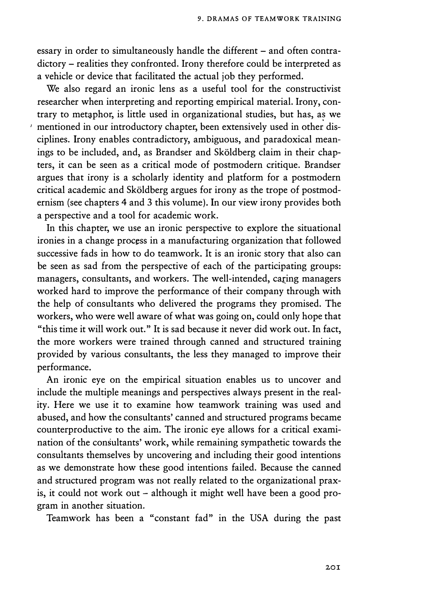essary in order to simultaneously handle the different – and often contradictory - realities they confronted. Irony therefore could be interpreted as a vehicle or device that facilitated the actual job they performed.

We also regard an ironic lens as a useful tool for the constructivist researcher when interpreting and reporting empirical material. Irony, contrary to metaphor, is little used in organizational studies, but has, as we *1* mentioned in our introductory chapter, been extensively used in other disciplines. Irony enables contradictory, ambiguous, and paradoxical meanings to be included, and, as Brandser and Sköldberg claim in their chapters, it can be seen as a critical mode of postmodern critique. Brandser argues that irony is a scholarly identity and platform for a postmodern critical academic and Skoldberg argues for irony as the trope of postmodernism (see chapters 4 and 3 this volume). In our view irony provides both a perspective and a tool for academic work.

In this chapter, we use an ironic perspective to explore the situational ironies in a change process in a manufacturing organization that followed successive fads in how to do teamwork. It is an ironic story that also can be seen as sad from the perspective of each of the participating groups: managers, consultants, and workers. The well-intended, caring managers worked hard to improve the performance of their company through with the help of consultants who delivered the programs they promised. The workers, who were well aware of what was going on, could only hope that "this time it will work out." It is sad because it never did work out. In fact, the more workers were trained through canned and structured training provided by various consultants, the less they managed to improve their performance.

An ironic eye on the empirical situation enables us to uncover and include the multiple meanings and perspectives always present in the reality. Here we use it to examine how teamwork training was used and abused, and how the consultants' canned and structured programs became counterproductive to the aim. The ironic eye allows for a critical examination of the consultants' work, while remaining sympathetic towards the consultants themselves by uncovering and including their good intentions as we demonstrate how these good intentions failed. Because the canned and structured program was not really related to the organizational praxis, it could not work out – although it might well have been a good program in another situation.

Teamwork has been a "constant fad" in the USA during the past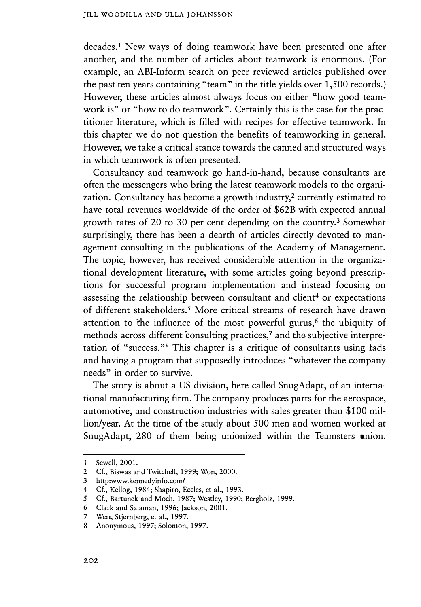decades.<sup>1</sup> New ways of doing teamwork have been presented one after another, and the number of articles about teamwork is enormous. (For example, an ABI-Inform search on peer reviewed articles published over the past ten years containing "team" in the title yields over 1,500 records.) However, these articles almost always focus on either "how good teamwork is" or "how to do teamwork". Certainly this is the case for the practitioner literature, which is filled with recipes for effective teamwork. In this chapter we do not question the benefits of teamworking in general. However, we take a critical stance towards the canned and structured ways in which teamwork is often presented.

Consultancy and teamwork go hand-in-hand, because consultants are often the messengers who bring the latest teamwork models to the organization. Consultancy has become a growth industry,<sup>2</sup> currently estimated to have total revenues worldwide df the order of \$62B with expected annual growth rates of 20 to 30 per cent depending on the country. 3 Somewhat surprisingly, there has been a dearth of articles directly devoted to management consulting in the publications of the Academy of Management. The topic, however, has received considerable attention in the organizational development literature, with some articles going beyond prescriptions for successful program implementation and instead focusing on assessing the relationship between consultant and client<sup>4</sup> or expectations of different stakeholders.5 More critical streams of research have drawn attention to the influence of the most powerful gurus,<sup>6</sup> the ubiquity of methods across different consulting practices,<sup>7</sup> and the subjective interpretation of "success." $8$  This chapter is a critique of consultants using fads and having a program that supposedly introduces "whatever the company needs" in order to survive.

The story is about a US division, here called SnugAdapt, of an international manufacturing firm. The company produces parts for the aerospace, automotive, and construction industries with sales greater than \$100 million/year. At the time of the study about 500 men and women worked at SnugAdapt, 280 of them being unionized within the Teamsters union.

<sup>1</sup> Sewell, 2001.

<sup>2</sup> Cf., Biswas and Twitchell, 1999; Won, 2000.

<sup>3</sup> http:www.kennedyinfo.com/

<sup>4</sup> Cf., Kellog, 1984; Shapiro, Eccles, et al., 1993.

<sup>5</sup> Cf., Bartunek and Moch, 1987; Westley, 1990; Bergholz, 1999.

<sup>6</sup> Clark and Salaman, 1996; Jackson, 2001.

<sup>7</sup> Werr, Stjernberg, et al., 1997.

<sup>8</sup> Anonymous, 1997; Solomon, 1997.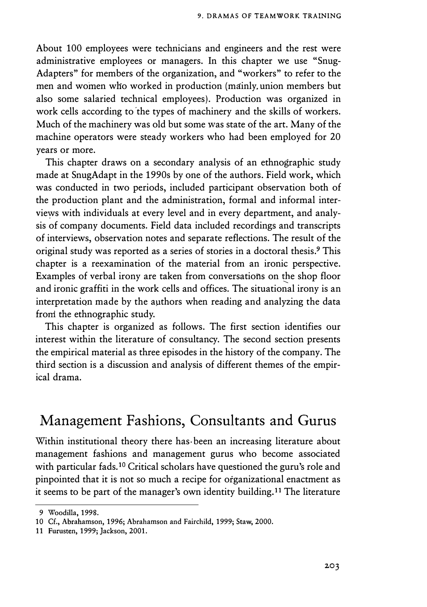About 100 employees were technicians and engineers and the rest were administrative employees or managers. In this chapter we use "Snug-Adapters" for members of the organization, and "workers" to refer to the men and women wlio worked in production (mainly. union members but also some salaried technical employees). Production was organized in work cells according to 'the types of machinery and the skills of workers. Much of the machinery was old but some was state of the art. Many of the machine operators were steady workers who had been employed for 20 years or more.

This chapter draws on a secondary analysis of an ethnographic study made at SnugAdapt in the 1990s by one of the authors. Field work, which was conducted in two periods, included participant observation both of the production plant and the administration, formal and informal interviews with individuals at every level and in every department, and analysis of company documents. Field data included recordings and transcripts of interviews, observation notes and separate reflections. The result of the original study was reported as a series of stories in a doctoral thesis.**9** This chapter is a reexamination of the material from an ironic perspective. Examples of verbal irony are taken from conversations on the shop floor and ironic graffiti in the work cells and offices. The situational irony is an interpretation made by the authors when reading and analyzing the data from the ethnographic study.

This chapter is organized as follows. The first section identifies our interest within the literature of consultancy. The second section presents the empirical material as three episodes in the history of the company. The third section is a discussion and analysis of different themes of the empirical drama.

# **Management Fashions, Consultants and Gurus**

Within institutional theory there has• been an increasing literature about management fashions and management gurus who become associated with particular fads.**10** Critical scholars have questioned the guru's role and pinpointed that it is not so much a recipe for organizational enactment as it seems to be part of the manager's own identity building.**11** The literature

<sup>9</sup> Woodilla, 1998.

<sup>10</sup> Cf., Abrahamson, 1996; Abrahamson and Fairchild, 1999; Staw, 2000.

<sup>11</sup> Furusten, 1999; Jackson, 2001.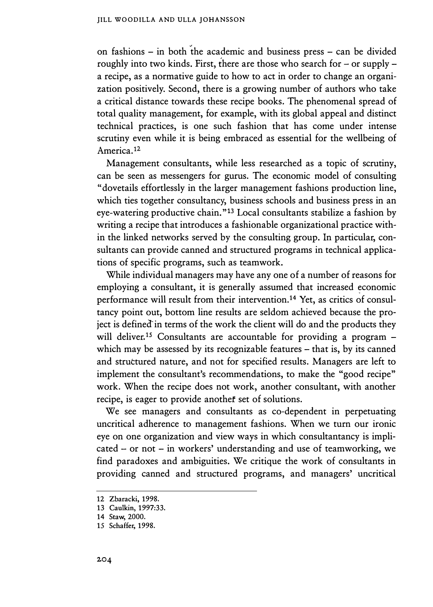on fashions - in both the academic and business press - can be divided roughly into two kinds. First, there are those who search for  $-$  or supply  $$ a recipe, as a normative guide to how to act in order to change an organization positively. Second, there is a growing number of authors who take a critical distance towards these recipe books. The phenomenal spread of total quality management, for example, with its global appeal and distinct technical practices, is one such fashion that has come under intense scrutiny even while it is being embraced as essential for the wellbeing of America.12

Management consultants, while less researched as a topic of scrutiny, can be seen as messengers for gurus. The economic model of consulting "dovetails effortlessly in the larger management fashions production line, which ties together consultancy, business schools and business press in an eye-watering productive chain."<sup>13</sup> Local consultants stabilize a fashion by writing a recipe that introduces a fashionable organizational practice within the linked networks served by the consulting group. In particular, consultants can provide canned and structured programs in technical applications of specific programs, such as teamwork.

While individual managers may have any one of a number of reasons for employing a consultant, it is generally assumed that increased �conomic performance will result from their intervention.14 Yet, as critics of consultancy point out, bottom line results are seldom achieved because the project is defined in terms of the work the client will do and the products they will deliver.<sup>15</sup> Consultants are accountable for providing a program which may be assessed by its recognizable features - that is, by its canned and struttured nature, and not for specified results. Managers are left to implement the consultant's recommendations, to make the "good recipe" work. When the recipe does not work, another consultant, with another recipe, is eager to provide another set of solutions.

We see managers and consultants as co-dependent in perpetuating uncritical adherence to management fashions. When we turn our ironic eye on one organization and view ways in which consultantancy is impli $cated - or not - in workers' understanding and use of teamworking, we$ find paradoxes and ambiguities. We critique the work of consultants in providing canned and structured programs, and managers' uncritical

<sup>12</sup> Zbaracki, 1998.

<sup>13</sup> Caulkin, 1997:33.

<sup>14</sup> Staw, 2000.

<sup>15</sup> Schaffer, 1998.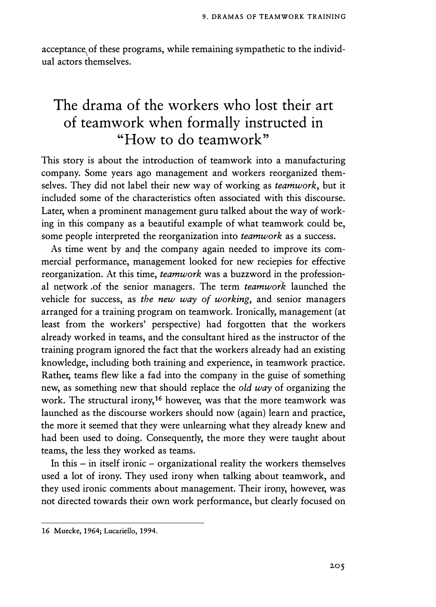acceptance of these programs, while remaining sympathetic to the individual actors themselves.

# **The drama of the workers who lost their art of teamwork when formally instructed in "How to do teamwork"**

This story is about the introduction of teamwork into a manufacturing company. Some years ago management and workers reorganized themselves. They did not label their new way of working as *teamwork,* but it included some of the characteristics often associated with this discourse. Later, when a prominent management guru talked about the way of working in this company as a beautiful example of what teamwork could be, some people interpreted the reorganization into *teamwork* as a success.

As time went by and the company again needed to improve its commercial performance, management looked for new reciepies for effective reorganization. At this time, *teamwork* was a buzzword in the professional network of the senior managers. The term *teamwork* launched the vehicle for success, as *the new way of working,* and senior managers arranged for a training program on teamwork. Ironically, management (at least from the workers' perspective) had forgotten that the workers already worked in teams, and the consultant hired as the instructor of the training program ignored the fact that the workers already had an existing knowledge, including both training and experience, in teamwork practice. Rather, teams flew like a fad into the company in the guise of something new, as something new that should replace the *old way* of organizing the work. The structural irony,<sup>16</sup> however, was that the more teamwork was launched as the discourse workers should now (again) learn and practice, the more it seemed that they were unlearning what they already knew and had been used to doing. Consequently, the more they were taught about teams, the less they worked as teams.

In this  $-$  in itself ironic  $-$  organizational reality the workers themselves used a lot of irony. They used irony when talking about teamwork, and they used ironic comments about management. Their irony, however, was not directed towards their own work performance, but clearly focused on

<sup>16</sup> Muecke, 1964; Lucariello, 1994.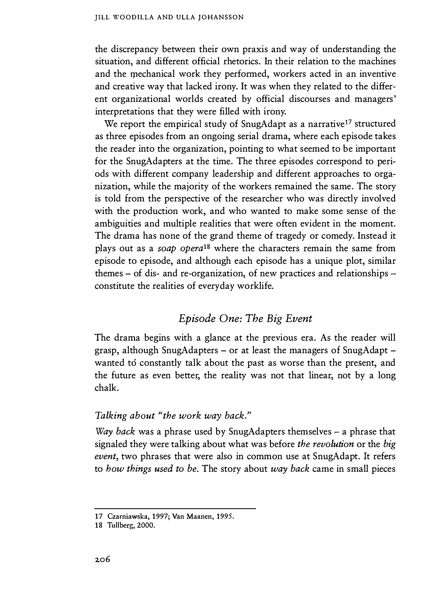#### JILL WOODILLA AND ULLA JOHANSSON

the discrepancy between their own praxis and way of understanding the situation, and different official rhetorics. In their relation to the machines and the mechanical work they performed, workers acted in an inventive and creative way that lacked irony. It was when they related to the different organizational worlds created by official discourses and managers' interpretations that they were filled with irony.

We report the empirical study of SnugAdapt as a narrative<sup>17</sup> structured as three episodes from an ongoing serial drama, where each episode takes the reader into the organization, pointing to what seemed to be important for the SnugAdapters at the time. The three episodes correspond to periods with different company leadership and different approaches to organization, while the majority of the workers remained the same. The story is told from the perspective of the researcher who was directly involved with the production work, and who wanted to make some sense of the ambiguities and multiple realities that were often evident in the moment. The drama has none of the grand theme of tragedy or comedy. Instead it plays out as a *soap opera18* where the characters remain the same from episode to episode, and although each episode has a unique plot, similar themes - of dis- and re-organization, of new practices and relationships constitute the realities of everyday worklife.

## *Episode One: The Big Event*

The drama begins with a glance at the previous era. As the reader will grasp, although SnugAdapters – or at least the managers of SnugAdapt – wanted to constantly talk about the past as worse than the present, and the future as even better, the reality was not that linear, not by a long chalk.

#### *Talking about "the work way back."*

*Way back* was a phrase used by SnugAdapters themselves – a phrase that signaled they were talking about what was before *the revolution* or the *big event,* two phrases that were also in common use at SnugAdapt. It refers to *how things used to be.* The story about *way back* came in small pieces

<sup>17</sup> Czarniawska, 1997; Van Maanen, 1995.

<sup>18</sup> Tullberg, 2000.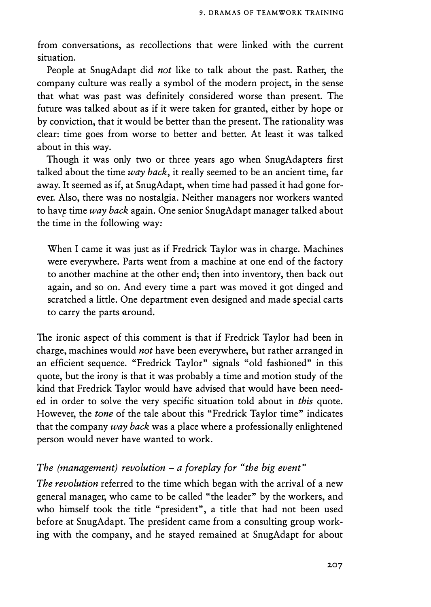from conversations, as recollections that were linked with the current situation.

People at SnugAdapt did *not* like to talk about the past. Rather, the company culture was really a symbol of the modern project, in the sense that what was past was definitely considered worse than present. The future was talked about as if it were taken for granted, either by hope or by conviction, that it would be better than the present. The rationality was clear: time goes from worse to better and better. At least it was talked about in this way.

Though it was only two or three years ago when SnugAdapters first talked about the time *way back,* it really seemed to be an ancient time, far away. It seemed as if, at SnugAdapt, when time had passed it had gone forever. Also, there was no nostalgia. Neither managers nor workers wanted to hav� time *way back* again. One senior SnugAdapt manager talked about the time in the following way:

When I came it was just as if Fredrick Taylor was in charge. Machines were everywhere. Parts went from a machine at one end of the factory to another machine at the other end; then into inventory, then back out again, and so on. And every time a part was moved it got dinged and scratched a little. One department even designed and made special carts to carry the parts around.

The ironic aspect of this comment is that if Fredrick Taylor had been in charge, machines would *not* have been everywhere, but rather arranged in an efficient sequence. "Fredrick Taylor" signals "old fashioned" in this quote, but the irony is that it was probably a time and motion study of the kind that Fredrick Taylor would have advised that would have been needed in order to solve the very specific situation told about in *this* quote. However, the *tone* of the tale about this "Fredrick Taylor time" indicates that the company *way back* was a place where a professionally enlightened person would never have wanted to work.

# *The (management) revolution* - *a foreplay for "the big event"*

*The revolution* referred to the time which began with the arrival of a new general manager, who came to be called "the leader" by the workers, and who himself took the title "president", a title that had not been used before at SnugAdapt. The president came from a consulting group working with the company, and he stayed remained at SnugAdapt for about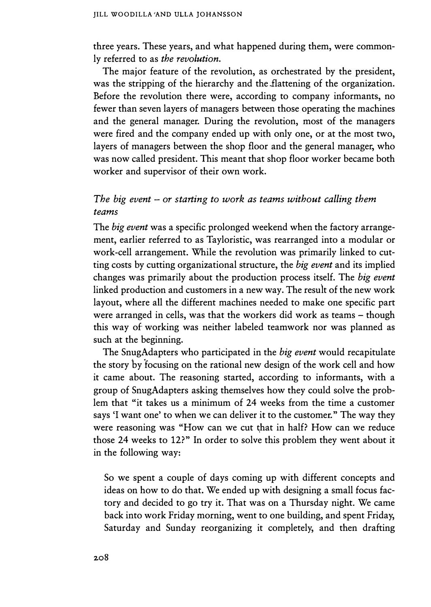three years. These years, and what happened during them, were commonly referred to as *the revolution.* 

The major feature of the revolution, as orchestrated by the president, was the stripping of the hierarchy and the Jlattening of the organization. Before the revolution there were, according to company informants, no fewer than seven layers of managers between those operating the machines and the general manager. During the revolution, most of the managers were fired and the company ended up with only one, or at the most two, layers of managers between the shop floor and the general manager, who was now called president. This meant that shop floor worker became both worker and supervisor of their own work.

#### *The big event* - *or starting to work as teams without calling them teams*

The *big event* was a specific prolonged weekend when the factory arrangement, earlier referred to as Tayloristic, was rearranged into a modular or work-cell arrangement. While the revolution was primarily linked to cutting costs by cutting organizational structure, the *big event* and its implied changes was primarily about the production process itself. The *big event*  linked production and customers in a new way. The result of the new work layout, where all the different machines needed to make one specific part were arranged in cells, was that the workers did work as teams - though this way of working was neither labeled teamwork nor was planned as such at the beginning.

The SnugAdapters who participated in the *big event* would recapitulate the story by tocusing on the rational new design of the work cell and how it came about. The reasoning started, according to informants, with a group of SnugAdapters asking themselves how they could solve the problem that "it takes us a minimum of 24 weeks from the time a customer says 'I want one' to when we can deliver it to the customer." The way they were reasoning was "How can we cut �hat in half? How can we reduce those 24 weeks to 12?" In order to solve this problem they went about it in the following way:

So we spent a couple of days coming up with different concepts and ideas on how to do that. We ended up with designing a small focus factory and decided to go try it. That was on a Thursday night. We came back into work Friday morning, went to one building, and spent Friday, Saturday and Sunday reorganizing it completely, and then drafting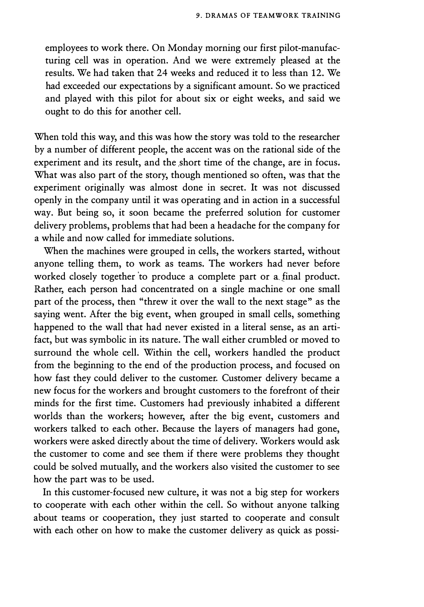employees to work there. On Monday morning our first pilot-manufacturing cell was in operation. And we were extremely pleased at the results. We had taken that 24 weeks and reduced it to less than 12. We had exceeded our expectations by a significant amount. So we practiced and played with this pilot for about six or eight weeks, and said we ought to do this for another cell.

When told this way, and this was how the story was told to the researcher by a number of different people, the accent was on the rational side of the experiment and its result, and the short time of the change, are in focus. What was also part of the story, though mentioned so often, was that the experiment originally was almost done in secret. It was not discussed openly in the company until it was operating and in action in a successful way. But being so, it soon became the preferred solution for customer delivery problems, problems that had been a headache for the company for a while and now called for immediate solutions.

When the machines were grouped in cells, the workers started, without anyone telling them, to work as teams. The workers had never before worked closely together 'to produce a complete part or a.final product. Rather, each person had concentrated on a single machine or one small part of the process, then "threw it over the wall to the next stage" as the saying went. After the big event, when grouped in small cells, something happened to the wall that had never existed in a literal sense, as an artifact, but was symbolic in its nature. The wall either crumbled or moved to surround the whole cell. Within the cell, workers handled the product from the beginning to the end of the production process, and focused on how fast they could deliver to the customer. Customer delivery became a new focus for the workers and brought customers to the forefront of their minds for the first time. Customers had previously inhabited a different worlds than the workers; however, after the big event, customers and workers talked to each other. Because the layers of managers had gone, workers were asked directly about the time of delivery. Workers would ask the customer to come and see them if there were problems they thought could be solved mutually, and the workers also visited the customer to see how the part was to be used.

In this customer-focused new culture, it was not a big step for workers to cooperate with each other within the cell. So without anyone talking about teams or cooperation, they just started to cooperate and consult with each other on how to make the customer delivery as quick as possi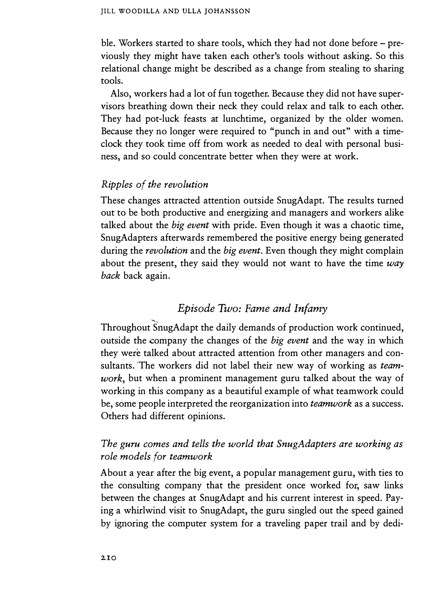ble. Workers started to share tools, which they had not done before – previously they might have taken each other's tools without asking. So this relational change might be described as a change from stealing to sharing tools.

Also, workers had a lot of fun together. Because they did not have supervisors breathing down their neck they could relax and talk to each other. They had pot-luck feasts at lunchtime, organized by the older women. Because they no longer were required to "punch in and out" with a timeclock they took time off from work as needed to deal with personal business, and so could concentrate better when they were at work.

## *Ripples of the revolution*

These changes attracted attention outside SnugAdapt. The results turned out to be both productive and energizing and managers and workers alike talked about the *big event* with pride. Even though it was a chaotic time, SnugAdapters afterwards remembered the positive energy being generated during the *revolution* and the *big event.* Even though they might complain about the present, they said they would not want to have the time *way back* back again.

### *Episode Two: Fame and Infamy*

Throughout SnugAdapt the daily demands of production work continued, outside the company the changes of the *big event* and the way in which they were talked about attracted attention from other managers and consultants. 'The workers did not label their new way of working as *teamwork,* but when a prominent management guru talked about the way of working in this company as a beautiful example of what teamwork could be, some people interpreted the reorganization into *teamwork* as a success. Others had different opinions.

# *The guru comes and tells the world that SnugAdapters are working as role models for teamwork*

About a year after the big event, a popular management guru, with ties to the consulting company that the president once worked for, saw links between the changes at SnugAdapt and his current interest in speed. Paying a whirlwind visit to SnugAdapt, the guru singled out the speed gained by ignoring the computer system for a traveling paper trail and by dedi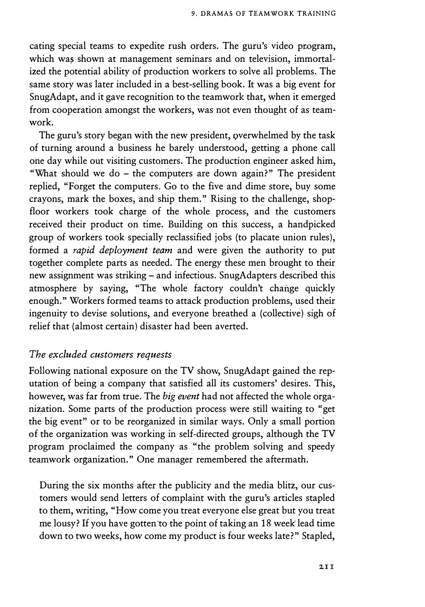cating special teams to expedite rush orders. The guru's video program, which was shown at management seminars and on television, immortalized the potential ability of production workers to solve all problems. The same story was later included in a best-selling book. It was a big event for SnugAdapt, and it gave recognition to the teamwork that, when it emerged from cooperation amongst the workers, was not even thought of as teamwork.

The guru's story began with the new president, overwhelmed by the task of turning around a business he barely understood, getting a phone call one day while out visiting customers. The production engineer asked him, "What should we do - the computers are down again?" The president replied, "Forget the computers. Go to the five and dime store, buy some crayons, mark the boxes, and ship them." Rising to the challenge, shopfloor workers took charge of the whole process, and the customers received their product on time. Building on this success, a handpicked group of workers took specially reclassified jobs (to placate union rules), formed a *rapid deployment team* and were given the authority to put together complete parts as needed. The energy these men brought to their new assignment was striking – and infectious. SnugAdapters described this atmosphere by saying, "The whole factory couldn't change quickly enough." Workers formed teams to attack production problems, used their ingenuity to devise solutions, and everyone breathed a (collective) sigh of relief that (almost certain) disaster had been averted.

#### *The excluded customers requests*

Following national exposure on the TV show, SnugAdapt gained the reputation of being a company that satisfied all its customers' desires. This, however, was far from true. The *big event* had not affected the whole organization. Some parts of the production process were still waiting to "get the big event" or to be reorganized in similar ways. Only a small portion of the organization was working in self-directed groups, although the TV program proclaimed the company as "the problem solving and speedy teamwork organization." One manager remembered the aftermath.

During the six months after the publicity and the media blitz, our customers would send letters of complaint with the guru's articles stapled to them, writing, "How come you treat everyone else great but you treat me lousy? If you have gotten'to the point of taking an 18 week' lead time down to two weeks, how come my product is four weeks late?" Stapled,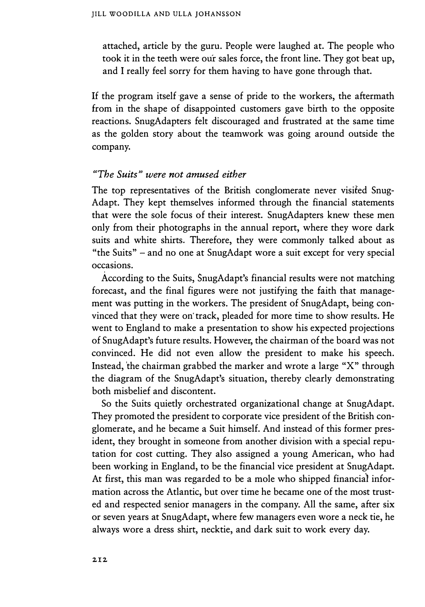attached, article by the guru. People were laughed at. The people who took it in the teeth were our sales force, the front line. They got beat up, and I really feel sorry for them having to have gone through that.

If the program itself gave a sense of pride to the workers, the aftermath from in the shape of disappointed customers gave birth to the opposite reactions. SnugAdapters felt discouraged and frustrated at the same time as the golden story about the teamwork was going around outside the company.

#### *"The Suits" were not amused either*

The top representatives of the British conglomerate never visited Snug-Adapt. They kept themselves informed through the financial statements that were the sole focus of their interest. SnugAdapters knew these men only from their photographs in the annual report, where they wore dark suits and white shirts. Therefore, they were commonly talked about as "the Suits" - and no one at SnugAdapt wore a suit except for very special occasions.

According to the Suits, SnugAdapt's financial results were not matching forecast, and the final figures were not justifying the faith that management was putting in the workers. The president of SnugAdapt, being convinced that they were on track, pleaded for more time to show results. He went to England to make a presentation to show his expected projections of SnugAdapt's future results. However, the chairman of the board was not convinced. He did not even allow the president to make his speech. Instead, 'the chairman grabbed the marker and wrote a large "X" through the diagram of the SnugAdapt's situation, thereby clearly demonstrating both misbelief and discontent.

So the Suits quietly orchestrated organizational change at SnugAdapt. They promoted the president to corporate vice president of the British conglomerate, and he became a Suit himself. And instead of this former president, they brought in someone from another division with a special reputation for cost cutting. They also assigned a young American, who had been working in England, to be the financial vice president at SnugAdapt. At first, this man was regarded to be a mole who shipped financial information across the Atlantic, but over time he became one of the most trusted and respected senior managers in the company. All the same, after six or seven years at SnugAdapt, where few managers even wore a neck tie, he always wore a dress shirt, necktie, and dark suit to work every day.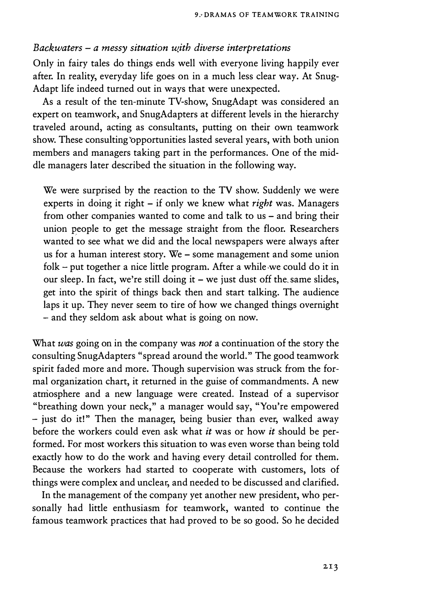#### *Backwaters - a messy situation wjth diverse interpretations*

Only in fairy tales do things ends well with everyone living happily ever after. In reality, everyday life goes on in a much less clear way. At Snug-Adapt life indeed turned out in ways that were unexpected.

As a result of the ten-minute TV-show, SnugAdapt was considered an expert on teamwork, and SnugAdapters at different levels in the hierarchy traveled around, acting as consultants, putting on their own teamwork show. These consulting'opportunities lasted several years, with both union members and managers taking part in the performances. One of the middle managers later described the situation in the following way.

We were surprised by the reaction to the TV show. Suddenly we were experts in doing it right - if only we knew what *right* was. Managers from other companies wanted to come and talk to us – and bring their union �eople to get the message straight from the floor. Researchers wanted to see what we did and the local newspapers were always after us for a human interest story. We - some management and some union folk  $-$  put together a nice little program. After a while we could do it in our sleep. In fact, we're still doing it  $-$  we just dust off the same slides, get into the spirit of things back then and start talking. The audience laps it up. They never seem to tire of how we changed things overnight - and they seldom ask about what is going on now.

What *was* going on in the company was *not* a continuation of the story the consulting SnugAdapters "spread around the world." The good teamwork spirit faded more and more. Though supervision was struck from the formal organization chart, it returned in the guise of commandments. A new atmosphere and a new language were created. Instead of a supervisor "breathing down your neck," a manager would say, "You're empowered - just do it!" Then the manager, being busier than ever, walked away before the workers could even ask what *it* was or how *it* should be performed. For most workers this situation to was even worse than being told exactly how to do the work and having every detail controlled for them. Because the workers had started to cooperate with customers, lots of things were complex and unclear, and needed to be discussed and clarified.

In the management of the company yet another new president, who personally had little enthusiasm for teamwork, wanted to continue the famous teamwork practices that had proved to be so good. So he decided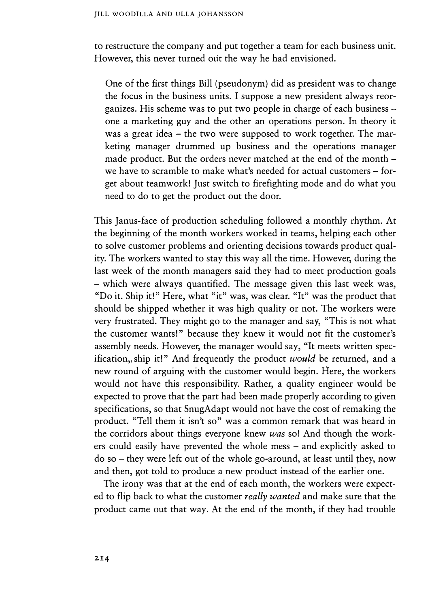to restructure the company and put together a team for each business unit. However, this never turned out the way he had envisioned.

One of the first things Bill (pseudonym) did as president was to change the focus in the business units. I suppose a new president always reorganizes. His scheme was to put two people in charge of each business one a marketing guy and the other an operations person. In theory it was a great idea - the two were supposed to work together. The marketing manager drummed up business and the operations manager made product. But the orders never matched at the end of the month – we have to scramble to make what's needed for actual customers - forget about teamwork! Just switch to firefighting mode and do what you need to do to get the product out the door.

This Janus-face of production scheduling followed a monthly rhythm. At the beginning of the month workers worked in teams, helping each other to solve customer problems and orienting decisions towards product quality. The workers wanted to stay this way all the time. However, during the last week of the month managers said they had to meet production goals - which were always quantified. The message given this last week was, "Do it. Ship it!" Here, what "it" was, was clear. **"It"** was the product that should be shipped whether it was high quality or not. The workers were very frustrated. They might go to the manager and say, "This is not what the customer wants!" because they knew it would not fit the customer's assembly needs. However, the manager would say, **"It** meets written specification,, ship it!" And frequently the product *would* be returned, and a new round of arguing with the customer would begin. Here, the workers would not have this responsibility. Rather, a quality engineer would be expected to prove that the part had been made properly according to given specifications, so that SnugAdapt would not have the cost of remaking the product. "Tell them it isn't so" was a common remark that was heard in the corridors about things everyone knew *was* so! And though the workers could easily have prevented the whole mess – and explicitly asked to do so - they were left out of the whole go-around, at least until they, now and then, got told to produce a new product instead of the earlier one.

The irony was that at the end of each month, the workers were expected to flip back to what the customer *really wanted* and make sure that the product came out that way. At the end of the month, if they had trouble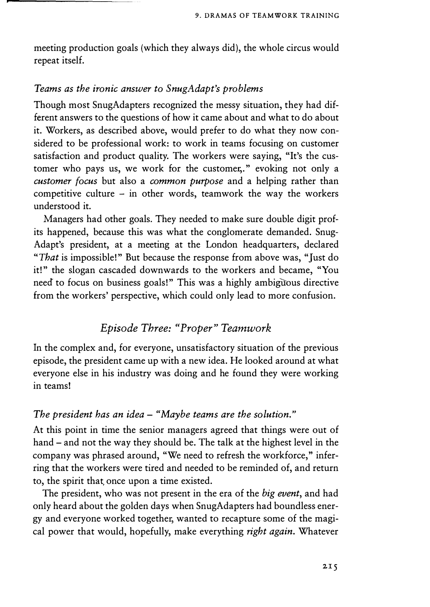meeting production goals (which they always did), the whole circus would repeat itself.

#### *Teams as the ironic answer to SnugAdapt's problems*

Though most SnugAdapters recognized the messy situation, they had different answers to the questions of how it came about and what to do about it. Workers, as described above, would prefer to do what they now considered to be professional work: to work in teams focusing on customer satisfaction and product quality. The workers were saying, "It's the customer who pays us, we work for the customer,." evoking not only a *customer focus* but also a *common purpose* and a helping rather than competitive culture  $-$  in other words, teamwork the way the workers understood it.

Managers had other goals. They needed to make sure double digit profits happened, because this was what the conglomerate demanded. Snug-Adapt's president, at a meeting at the London headquarters, declared *"That* is impossible!" But because the response from above was, "Just do it!" the slogan cascaded downwards to the workers and became, "You need to focus on business goals!" This was a highly ambiguous directive from the workers' perspective, which could only lead to more confusion.

# *Episode Three: "Proper" Teamwork*

In the complex and, for everyone, unsatisfactory situation of the previous episode, the president came up with a new idea. He looked around at what everyone else in his industry was doing and he found they were working in teams!

#### *T he president has an idea* - *"Maybe teams are the solution."*

At this point in time the senior managers agreed that things were out of hand – and not the way they should be. The talk at the highest level in the company was phrased around, "We need to refresh the workforce," inferring that the workers were tired and needed to be reminded of, and return to, the spirit that, once upon a time existed.

The president, who was not present in the era of the *big event,* and had only heard about the golden days when SnugAdapters had boundless energy and everyone worked together, wanted to recapture some of the magical power that would, hopefully, make everything *right again.* Whatever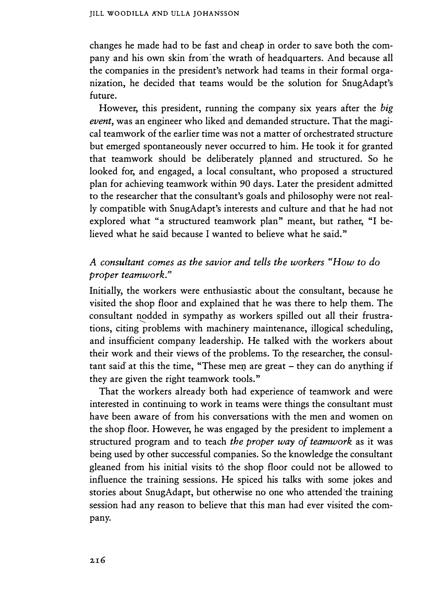changes he made had to be fast and cheap in order to save both the company and his own skin from' the wrath of headquarters. And because all the companies in the president's network had teams in their formal organization, he decided that teams would be the solution for SnugAdapt's future.

However, this president, running the company six years after the *big event*, was an engineer who liked and demanded structure. That the magical teamwork of the earlier time was not a matter of orchestrated structure but emerged spontaneously never occurred to him. He took it for granted that teamwork should be deliberately planned and structured. So he looked for, and engaged, a local consultant, who proposed a structured plan for achieving teamwork within 90 days. Later the president admitted to the researcher that the consultant's goals and philosophy were not really compatible with SnugAdapt's interests and culture and that he had not explored what "a structured teamwork plan" meant, but rather, "I believed what he said because I wanted to believe what he said."

# *A consultant comes as the savior and tells the workers "How to do proper teamwork."*

Initially, the workers were enthusiastic about the consultant, because he visited the shop floor and explained that he was there to help them. The consultant nodded in sympathy as workers spilled out all their frustrations, citing problems with machinery maintenance, illogical scheduling, and insufficient company leadership. He talked with the workers about their work and their views of the problems. To the researcher, the consultant said at this the time, "These men are great  $-$  they can do anything if they are given the right teamwork tools."

That the workers already both had experience of teamwork and were interested in continuing to work in teams were things the consultant must have been aware of from his conversations with the men and women on the shop floor. However, he was engaged by the president to implement a structured program and to teach *the proper way of teamwork* as it was being used by other successful companies. So the knowledge the consultant gleaned from his initial visits to the shop floor could not be allowed to influence the training sessions. He spiced his talks with some jokes and stories about SnugAdapt, but otherwise no one who attended 'the training session had any reason to believe that this man had ever visited the company.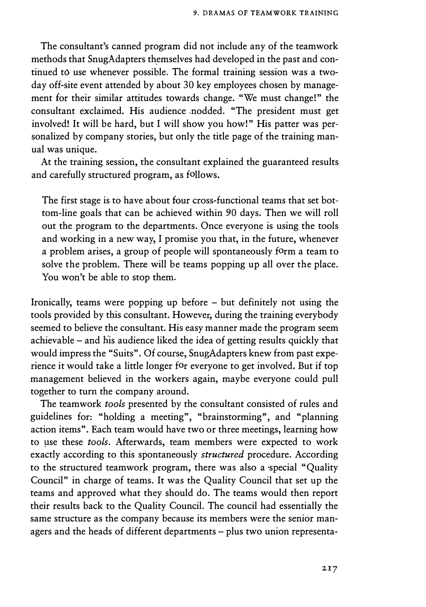The consultant's canned program did not include any of the teamwork methods that SnugAdapters themselves had developed in the past and continued to use whenever possible. The formal training session was a twoday off-site event attended by about 30 key employees chosen by management for their similar attitudes towards change. "We must change!" the consultant exclaimed. His audience .nodded. "The president must get involved! It will be hard, but I will show you howl" His patter was personalized by company stories, but only the title page of the training manual was unique.

At the training session, the consultant explained the guaranteed results and carefully structured program, as follows.

The first stage is to have about four cross-functional teams that set bottom-line goals that can be achieved within 90 days. Then we will roll out the program to the departments. Once everyone is using the tools and working in a new way, I promise you that, in the future, whenever a problem arises, a group of people will spontaneously form a team to solve the problem. There will be teams popping up all over the place. You won't be able to stop them.

Ironically, teams were popping up before - but definitely not using the tools provided by this consultant. However, during the training everybody seemed to believe the consultant. His easy manner made the program seem achievable  $-$  and his audience liked the idea of getting results quickly that would impress the "Suits". Of course, SnugAdapters knew from past experience it would take a little longer for everyone to get involved. But if top management believed in the workers again, maybe everyone could pull together to tum the company around.

The teamwork *tools* presented by the consultant consisted of rules and guidelines for: "holding a meeting", "brainstorming", and "planning action items". Each team would have two or three meetings, learning how to µse these *tools.* Afterwards, team members were expected to work exactly according to this spontaneously *structured* procedure. According to the structured teamwork program, there was also a special "Quality Council" in charge of teams. It was the Quality Council that set up the teams and approved what they should do. The teams would then report their results back to the Quality Council. The council had essentially the same structure as the company because its members were the senior managers and the heads of different departments - plus two union representa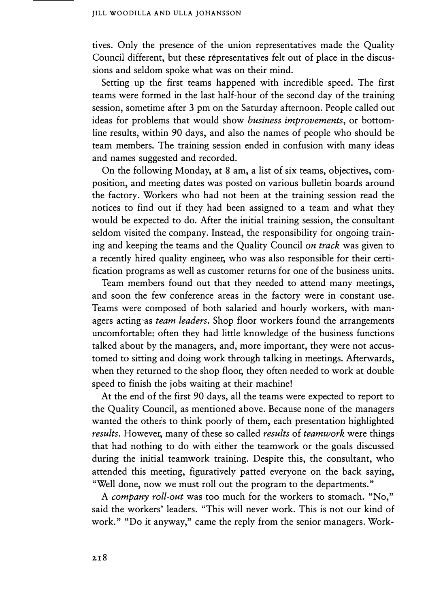tives. Only the presence of the union representatives made the Quality Council different, but these representatives felt out of place in the discussions and seldom spoke what was on their mind.

Setting up the first teams happened with incredible speed. The first teams were formed in the last half-hour of the second day of the training session, sometime after 3 pm on the Saturday afternoon. People called out ideas for problems that would show *business improvements,* or bottomline results, within 90 days, and also the names of people who should be team members. The training session ended in confusion with many ideas and names suggested and recorded.

On the following Monday, at 8 am, a list of six teams, objectives, composition, and meeting dates was posted on various bulletin boards around the factory. Workers who had not been at the training session read the notices to find out if they had been assigned to a team and what they would be expected to do. After the initial training session, the consultant seldom visited the company. Instead, the responsibility for ongoing training and keeping the teams and the Quality Council *on track* was given to a recently hired quality engineer, who was also responsible for their certification programs as well as customer returns for one of the business units.

Team members found out that they needed to attend many meetings, and soon the few conference areas in the factory were in constant use. Teams were composed of both salaried and hourly workers, with managers acting-as *team leaders.* Shop floor workers found the arrangements uncomfortable: often they had little knowledge of the business functions talked about by the managers, and, more important, they were not accustomed to sitting and doing work through talking in meetings. Afterwards, when they returned to the shop floor, they often needed to work at double speed to finish the jobs waiting at their machine!

At the end of the first 90 days, all the teams were expected to report to the Quality Council, as mentioned above. Because none of the managers wanted the others to think poorly of them, each presentation highlighted *results.* However, many of these so called *results* of *teamwork* were things that had nothing to do with either the teamwork or the goals discussed during the initial teamwork training. Despite this, the consultant, who attended this meeting, figuratively patted everyone on the back saying, "Well done, now we must roll out the program to the departments."

A *company roll-out* was too much for the workers to stomach. "No," said the workers' leaders. "This will never work. This is not our kind of work." "Do it anyway," came the reply from the senior managers. Work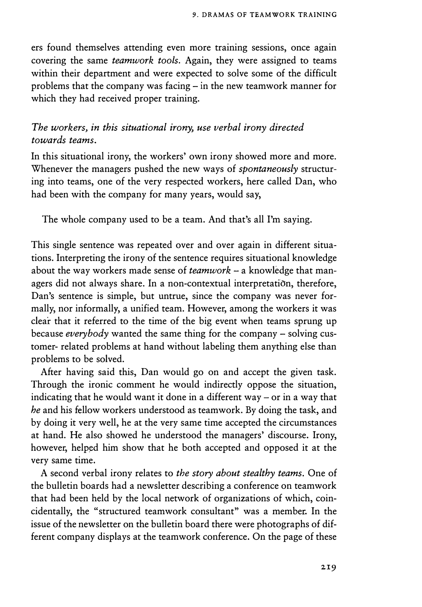ers found themselves attending even more training sessions, once again covering the same *teamwork tools.* Again, they were assigned to teams within their department and were expected to solve some of the difficult problems that the company was facing - in the new teamwork manner for which they had received proper training.

### *The workers, in this situational irony, use verbal irony directed towards teams.*

In this situational irony, the workers' own irony showed more and more. Whenever the managers pushed the new ways of *spontaneously* structuring into teams, one of the very respected workers, here called Dan, who had been with the company for many years, would say,

The whole company used to be a team. And that's all I'm saying.

This single sentence was repeated over and over again in different situations. Interpreting the irony of the sentence requires situational knowledge about the way workers made sense of *teamwork* – a knowledge that managers did not always share. In a non-contextual interpretation, therefore, Dan's sentence is simple, but untrue, since the company was never formally, nor informally, a unified team. However, among the workers it was clear that it referred to the time of the big event when teams sprung up because *everybody* wanted the same thing for the company - solving customer- related problems at hand without labeling them anything else than problems to be solved.

After having said this, Dan would go on and accept the given task. Through the ironic comment he would indirectly oppose the situation, indicating that he would want it done in a different way  $-$  or in a way that *he* and his fellow workers understood as teamwork. By doing the task, and by doing it very well, he at the very same time accepted the circumstances at hand. He also showed he understood the managers' discourse. Irony, however, helped him show that he both accepted and opposed it at the very same time.

A second verbal irony relates to *the story about stealthy teams.* One of the bulletin boards had a newsletter describing a conference on teamwork that had been held by the local network of organizations of which, coincidentally, the "structured teamwork consultant" was a member. In the issue of the newsletter on the bulletin board there were photographs of different company displays at the teamwork conference. On the page of these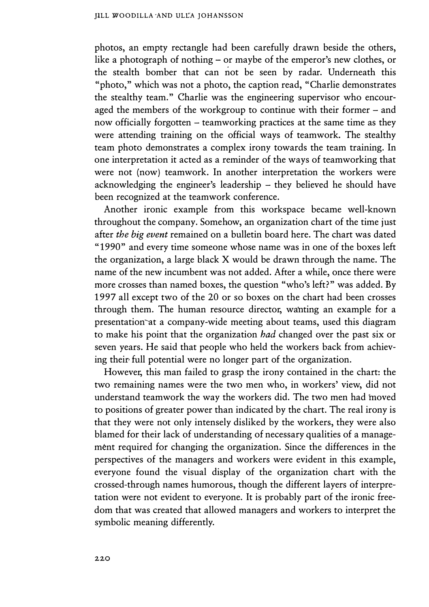photos, an empty rectangle had been carefully drawn beside the others, like a photograph of nothing – or maybe of the emperor's new clothes, or the stealth bomber that can not be seen by radar. Underneath this "photo," which was not a photo, the caption read, "Charlie demonstrates the stealthy team." Charlie was the engineering supervisor who encouraged the members of the workgroup to continue with their former - and now officially forgotten – teamworking practices at the same time as they were attending training on the official ways of teamwork. The stealthy team photo demonstrates a complex irony towards the team training. In one interpretation it acted as a reminder of the ways of teamworking that were not (now) teamwork. In another interpretation the workers were acknowledging the engineer's leadership  $-$  they believed he should have been recognized at the teamwork conference.

Another ironic example from this workspace became well-known throughout the company. Somehow, an organization chart of the time just after *the big event* remained on a bulletin board here. The chart was dated "1990" and every time someone whose name was in one of the boxes left the organization, a large black X would be drawn through the name. The name of the new incumbent was not added. After a while, once there were more crosses than named boxes, the question "who's left?" was added. By 1997 all except two of the 20 or so boxes on the chart had been crosses through them. The human resource director, wahting an example for a presentation at a company-wide meeting about teams, used this diagram to make his point that the organization *had* changed over the past six or seven years. He said that people who held the workers back from achieving their full potential were no longer part of the organization.

However, this man failed to grasp the irony contained in the chart: the two remaining names were the two men who, in workers' view, did not understand teamwork the way the workers did. The two men had moved to positions of greater power than indicated by the chart. The real irony is that they were not only intensely disliked by the workers, they were also blamed for their lack of understanding of necessary qualities of a management required for changing the organization. Since the differences in the perspectives of the managers and workers were evident in this example, everyone found the visual display of the organization chart with the crossed-through names humorous, though the different layers of interpretation were not evident to everyone. It is probably part of the ironic freedom that was created that allowed managers and workers to interpret the symbolic meaning differently.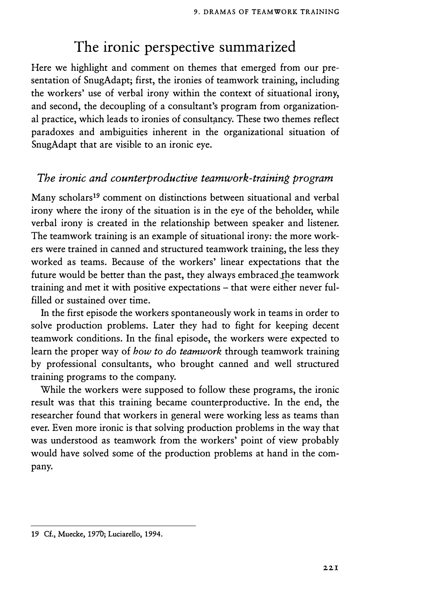# **The ironic perspective summarized**

Here we highlight and comment on themes that emerged from our presentation of SnugAdapt; first, the ironies of teamwork training, including the workers' use of verbal irony within the context of situational irony, and second, the decoupling of a consultant's program from organizational practice, which leads to ironies of consultancy. These two themes reflect paradoxes and ambiguities inherent in the organizational situation of SnugAdapt that are visible to an ironic eye.

## *The ironic and counterproductive teamwork-training program*

Many scholars<sup>19</sup> comment on distinctions between situational and verbal irony where the irony of the situation is in the eye of the beholder, while verbal irony is created in the relationship between speaker and listener. The teamwork training is an example of situational irony: the more workers were trained in canned and structured teamwork training, the less they worked as teams. Because of the workers' linear expectations that the future would be better than the past, they always embraced the teamwork training and met it with positive expectations – that were either never fulfilled or sustained over time.

In the first episode the workers spontaneously work in teams in order to solve production problems. Later they had to fight for keeping decent teamwork conditions. In the final episode, the workers were expected to learn the proper way of *how to do teamwork* through teamwork training by professional consultants, who brought canned and well structured training programs to the company.

While the workers were supposed to follow these programs, the ironic result was that this training became counterproductive. In the end, the researcher found that workers in general were working less as teams than ever. Even more ironic is that solving production problems in the way that was understood as teamwork from the workers' point of view probably would have solved some of the production problems at hand in the company.

<sup>19</sup> Cf., Muecke, 1970; Luciarello, 1994.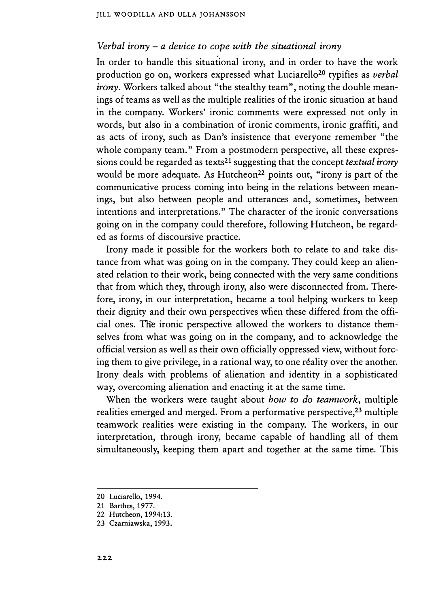#### *Verbal irony* - *a device to cope with the situational irony*

In order to handle this situational irony, and in order to have the work production go on, workers expressed what Luciarello<sup>20</sup> typifies as *verbal irony*. Workers talked about "the stealthy team", noting the double meanings of teams as well as the multiple realities of the ironic situation at hand in the company. Workers' ironic comments were expressed not only in words, but also in a combination of ironic comments, ironic graffiti, and as acts of irony, such as Dan's insistence that everyone remember "the whole company team." From a postmodern perspective, all these expressions could be regarded as texts<sup>2</sup>1 suggesting that the concept *textual irony*  would be more adequate. As Hutcheon<sup>22</sup> points out, "irony is part of the communicative process coming into being in the relations between meanings, but also between people and utterances and, sometimes, between intentions and interpretations." The character of the ironic conversations going on in the company could therefore, following Hutcheon, be regarded as forms of discoursive practice.

Irony made it possible for the workers both to relate to and take distance from what was going on in the company. They could keep an alienated relation to their work, being connected with the very same conditions that from which they, through irony, also were disconnected from. Therefore, irony, in our interpretation, became a tool helping workers to keep their dignity and their own perspectives when these differed from the official ones. The ironic perspective allowed the workers to distance themselves from what was going on in the company, and to acknowledge the official version as well as their own officially oppressed view, without forcing them to give privilege, in a rational way, to one reality over the another. Irony deals with problems of alienation and identity in a sophisticated way, overcoming alienation and enacting it at the same time.

When the workers were taught about *how to do teamwork,* multiple realities emerged and merged. From a performative perspective,<sup>23</sup> multiple teamwork realities were existing in the company. The workers, in our interpretation, through irony, became capable of handling all of them simultaneously, keeping them apart and together at the same time. This

**<sup>20</sup> Luciarello, 1994.** 

**<sup>21</sup> Barthes, 1977.** 

**<sup>22</sup> Hutcheon, 1994:13.** 

**<sup>23</sup> Czarniawska, 1993.**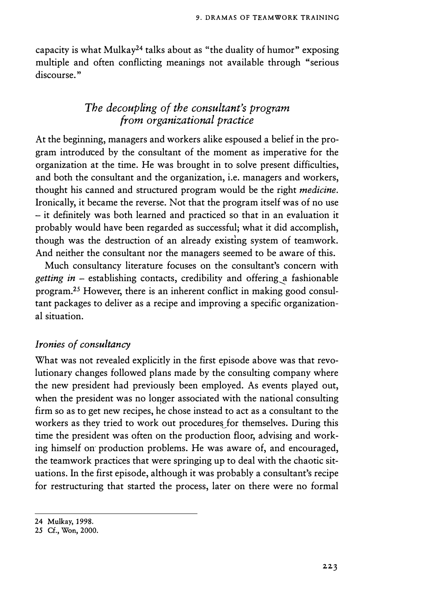capacity is what Mulkay<sup>24</sup> talks about as "the duality of humor" exposing multiple and often conflicting meanings not available through "serious discourse."

# *The decoupling of the consultant's program from organizational practice*

At the beginning, managers and workers alike espoused a belief in the program introduced by the consultant of the moment as imperative for the organization at the time. He was brought in to solve present difficulties, and both the consultant and the organization, i.e. managers and workers, thought his canned and structured program would be the right *medicine.*  Ironically, it became the reverse. Not that the program itself was of no use - it definitely was both learned and practiced so that in an evaluation it probably would have been regarded as successful; what it did accomplish, though was the destruction of an already existing system of teamwork. And neither the consultant nor the managers seemed to be aware of this.

Much consultancy literature focuses on the consultant's concern with *getting in* – establishing contacts, credibility and offering a fashionable program.25 However, there is an inherent conflict in making good consultant packages to deliver as a recipe and improving a specific organizational situation.

### *Ironies of consultancy*

What was not revealed explicitly in the first episode above was that revolutionary changes followed plans made by the consulting company where the new president had previously been employed. As events played out, when the president was no longer associated with the national consulting firm so as to get new recipes, he chose instead to act as a consultant to the workers as they tried to work out procedures for themselves. During this time the president was often on the production floor, advising and working himself on- production problems. He was aware of, and encouraged, the teamwork practices that were springing up to deal with the chaotic situations. In the first episode, although it was probably a consultant's recipe for restructuring that started the process, later on there were no formal

<sup>24</sup> Mulkay, 1998.

<sup>25</sup> Cf., Won, 2000.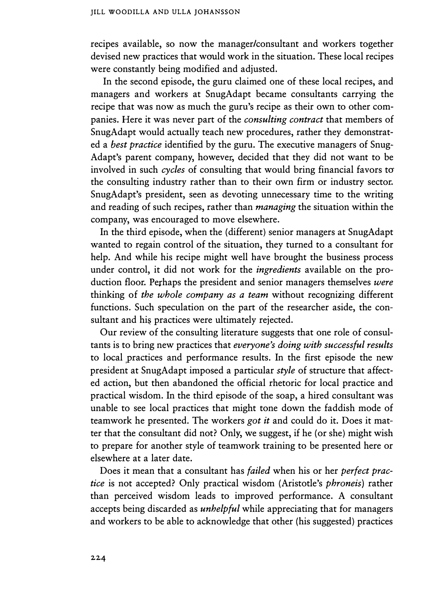recipes available, so now the manager/consultant and workers together devised new practices that would work in the situation. These local recipes were constantly being modified and adjusted.

In the second episode, the guru claimed one of these local recipes, and managers and workers at SnugAdapt became consultants carrying the recipe that was now as much the guru's recipe as their own to other companies. Here it was never part of the *consulting contract* that members of SnugAdapt would actually teach new procedures, rather they demonstrated a *best practice* identified by the guru. The executive managers of Snug-Adapt's parent company, however, decided that they did not want to be involved in such *cycles* of consulting that would bring financial favors to the consulting industry rather than to their own firm or industry sector. SnugAdapt's president, seen as devoting unnecessary time to the writing and reading of such recipes, rather than *managing* the situation within the company, was encouraged to move elsewhere.

In the third episode, when the (different) senior managers at SnugAdapt wanted to regain control of the situation, they turned to a consultant for help. And while his recipe might well have brought the business process under control, it did not work for the *ingredients* available on the production floor. Perhaps the president and senior managers themselves *were*  thinking of *the whole company as a team* without recognizing different functions. Such speculation on the part of the researcher aside, the consultant and his practices were ultimately rejected.

Our review of the consulting literature suggests that one role of consultants is to bring new practices that *everyone's doing with successful results*  to local practices and performance results. In the first episode the new president at SnugAdapt imposed a particular *style* of structure that affected action, but then abandoned the official rhetoric for local practice and practical wisdom. In the third episode of the soap, a hired consultant was unable to see local practices that might tone down the faddish mode of teamwork he presented. The workers *got it* and could do it. Does it matter that the consultant did not? Only, we suggest, if he (or she) might wish to prepare for another style of teamwork training to be presented here or elsewhere at a later date.

Does it mean that a consultant has *failed* when his or her *perfect practice* is not accepted? Only practical wisdom (Aristotle's *phroneis)* rather than perceived wisdom leads to improved performance. A consultant accepts being discarded as *unhelpful* while appreciating that for managers and workers to be able to acknowledge that other (his suggested) practices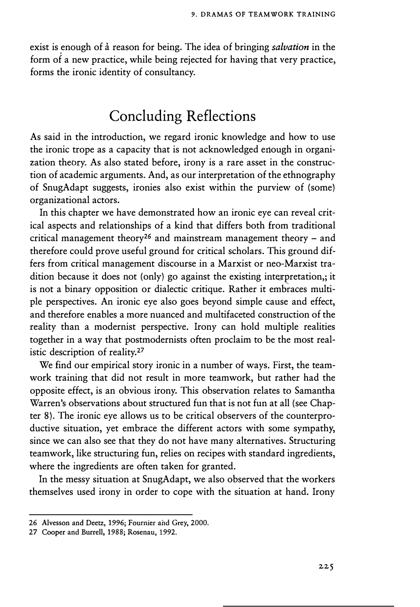exist is enough of a reason for being. The idea of bringing *salvation* in the form of a new practice, while being rejected for having that very practice, forms the ironic identity of consultancy.

# **Concluding Reflections**

As said in the introduction, we regard ironic knowledge and how to use the ironic trope as a capacity that is not acknowledged enough in organization theory. As also stated before, irony is a rare asset in the construction of academic arguments. And, as our interpretation of the ethnography of SnugAdapt suggests, ironies also exist within the purview of (some) organizational actors.

In this chapter we have demonstrated how an ironic eye can reveal critical aspects and relationships of a kind that differs both from traditional critical management theory**<sup>26</sup>**and mainstream management theory - and therefore could prove useful ground for critical scholars. This ground differs from critical management discourse in a Marxist or neo-Marxist tradition because it does not (only) go against the existing interpretation,; it is not a binary opposition or dialectic critique. Rather it embraces multiple perspectives. An ironic eye also goes beyond simple cause and effect, and therefore enables a more nuanced and multifaceted construction of the reality than a modernist perspective. Irony can hold multiple realities together in a way that postmodernists often proclaim to be the most realistic description of reality.27

We find our empirical story ironic in a number of ways. First, the teamwork training that did not result in more teamwork, but rather had the opposite effect, is an obvious irony. This observation relates to Samantha Warren's observations about structured fun that is not fun at all (see Chapter 8). The ironic eye allows us to be critical observers of the counterproductive situation, yet embrace the different actors with some sympathy, since we can also see that they do not have many alternatives. Structuring teamwork, like structuring fun, relies on recipes with standard ingredients, where the ingredients are often taken for granted.

In the messy situation at SnugAdapt, we also observed that the workers themselves used irony in order to cope with the situation at hand. Irony

<sup>26</sup> Alvesson and Deetz, 1996; Fournier and Grey, 2000.

<sup>27</sup> Cooper and Burrell, 1988; Rosenau, 1992.